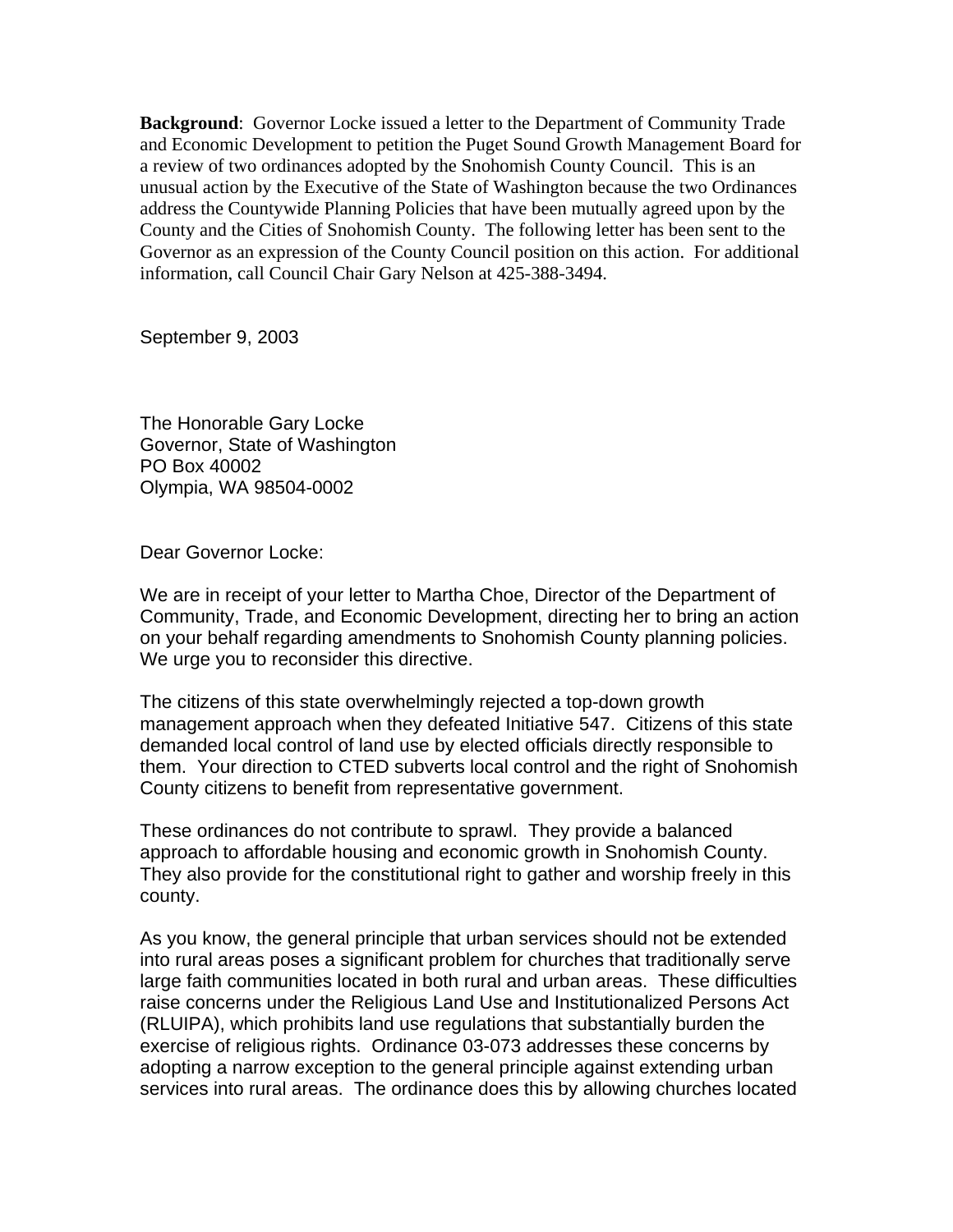**Background**: Governor Locke issued a letter to the Department of Community Trade and Economic Development to petition the Puget Sound Growth Management Board for a review of two ordinances adopted by the Snohomish County Council. This is an unusual action by the Executive of the State of Washington because the two Ordinances address the Countywide Planning Policies that have been mutually agreed upon by the County and the Cities of Snohomish County. The following letter has been sent to the Governor as an expression of the County Council position on this action. For additional information, call Council Chair Gary Nelson at 425-388-3494.

September 9, 2003

The Honorable Gary Locke Governor, State of Washington PO Box 40002 Olympia, WA 98504-0002

Dear Governor Locke:

We are in receipt of your letter to Martha Choe, Director of the Department of Community, Trade, and Economic Development, directing her to bring an action on your behalf regarding amendments to Snohomish County planning policies. We urge you to reconsider this directive.

The citizens of this state overwhelmingly rejected a top-down growth management approach when they defeated Initiative 547. Citizens of this state demanded local control of land use by elected officials directly responsible to them. Your direction to CTED subverts local control and the right of Snohomish County citizens to benefit from representative government.

These ordinances do not contribute to sprawl. They provide a balanced approach to affordable housing and economic growth in Snohomish County. They also provide for the constitutional right to gather and worship freely in this county.

As you know, the general principle that urban services should not be extended into rural areas poses a significant problem for churches that traditionally serve large faith communities located in both rural and urban areas. These difficulties raise concerns under the Religious Land Use and Institutionalized Persons Act (RLUIPA), which prohibits land use regulations that substantially burden the exercise of religious rights. Ordinance 03-073 addresses these concerns by adopting a narrow exception to the general principle against extending urban services into rural areas. The ordinance does this by allowing churches located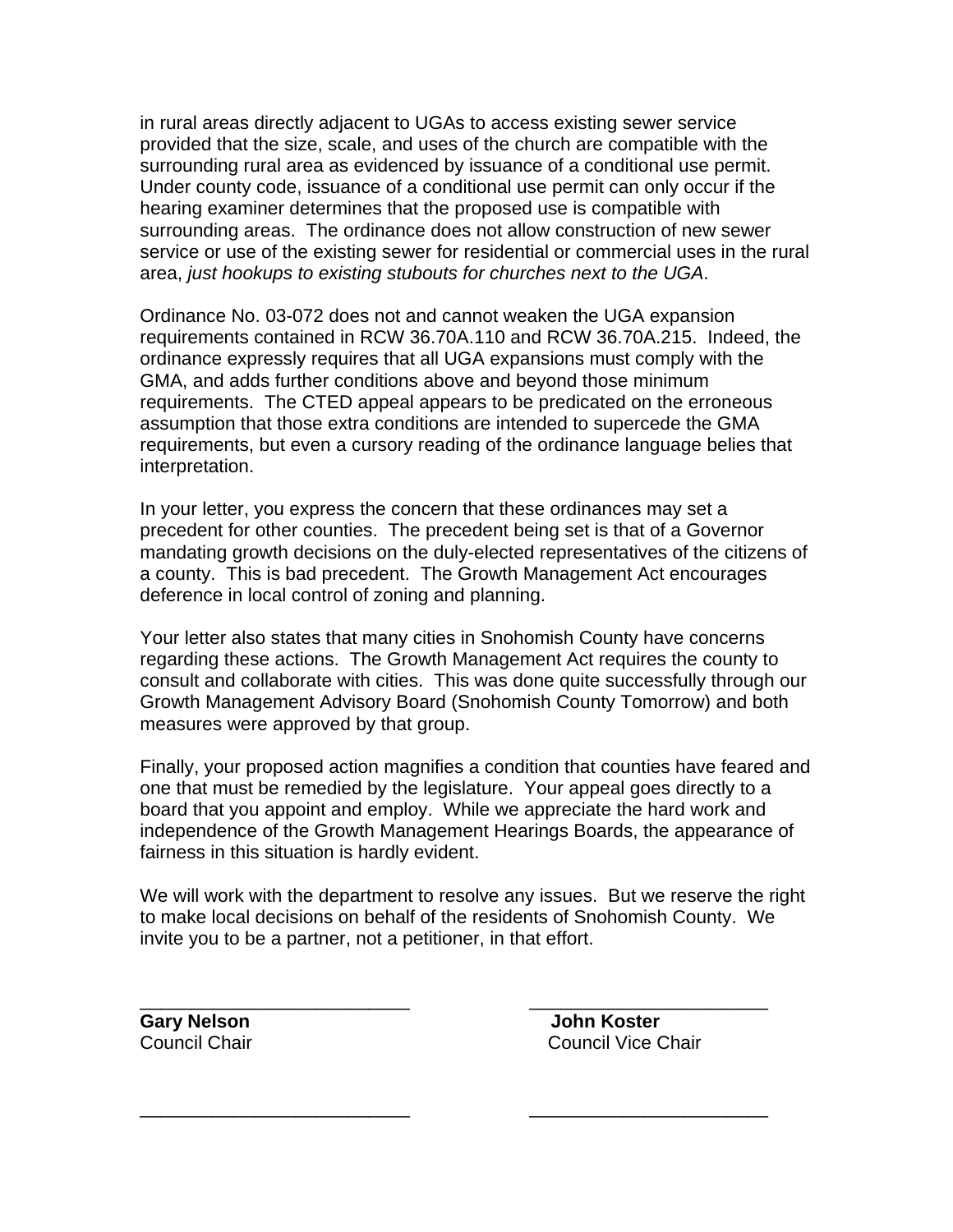in rural areas directly adjacent to UGAs to access existing sewer service provided that the size, scale, and uses of the church are compatible with the surrounding rural area as evidenced by issuance of a conditional use permit. Under county code, issuance of a conditional use permit can only occur if the hearing examiner determines that the proposed use is compatible with surrounding areas. The ordinance does not allow construction of new sewer service or use of the existing sewer for residential or commercial uses in the rural area, *just hookups to existing stubouts for churches next to the UGA*.

Ordinance No. 03-072 does not and cannot weaken the UGA expansion requirements contained in RCW 36.70A.110 and RCW 36.70A.215. Indeed, the ordinance expressly requires that all UGA expansions must comply with the GMA, and adds further conditions above and beyond those minimum requirements. The CTED appeal appears to be predicated on the erroneous assumption that those extra conditions are intended to supercede the GMA requirements, but even a cursory reading of the ordinance language belies that interpretation.

In your letter, you express the concern that these ordinances may set a precedent for other counties. The precedent being set is that of a Governor mandating growth decisions on the duly-elected representatives of the citizens of a county. This is bad precedent. The Growth Management Act encourages deference in local control of zoning and planning.

Your letter also states that many cities in Snohomish County have concerns regarding these actions. The Growth Management Act requires the county to consult and collaborate with cities. This was done quite successfully through our Growth Management Advisory Board (Snohomish County Tomorrow) and both measures were approved by that group.

Finally, your proposed action magnifies a condition that counties have feared and one that must be remedied by the legislature. Your appeal goes directly to a board that you appoint and employ. While we appreciate the hard work and independence of the Growth Management Hearings Boards, the appearance of fairness in this situation is hardly evident.

We will work with the department to resolve any issues. But we reserve the right to make local decisions on behalf of the residents of Snohomish County. We invite you to be a partner, not a petitioner, in that effort.

\_\_\_\_\_\_\_\_\_\_\_\_\_\_\_\_\_\_\_\_\_\_\_\_\_\_ \_\_\_\_\_\_\_\_\_\_\_\_\_\_\_\_\_\_\_\_\_\_\_

\_\_\_\_\_\_\_\_\_\_\_\_\_\_\_\_\_\_\_\_\_\_\_\_\_\_ \_\_\_\_\_\_\_\_\_\_\_\_\_\_\_\_\_\_\_\_\_\_\_

**Gary Nelson John Koster** Council Chair Council Vice Chair